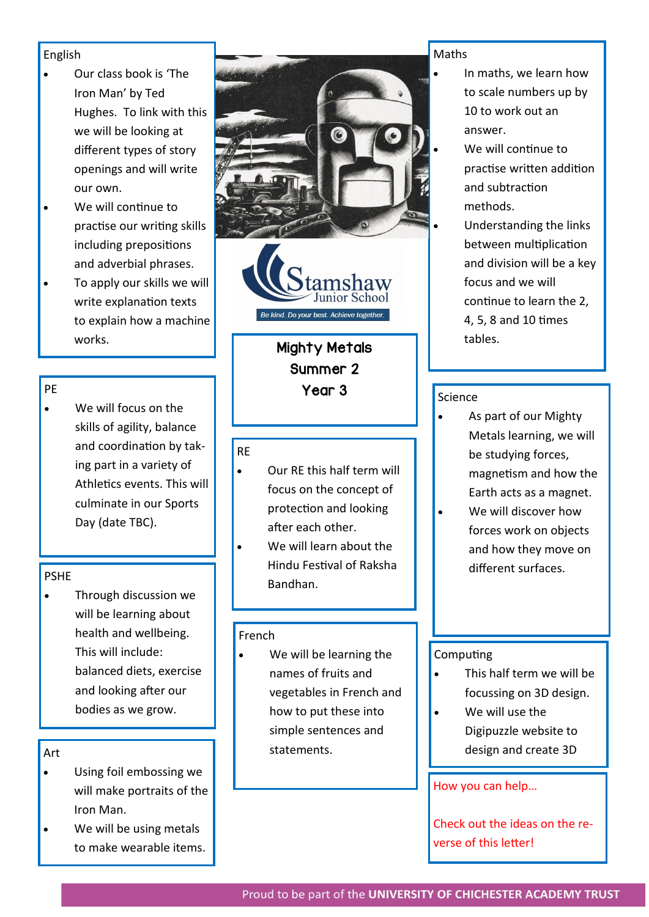## English

- Our class book is 'The Iron Man' by Ted Hughes. To link with this we will be looking at different types of story openings and will write our own.
- We will continue to practise our writing skills including prepositions and adverbial phrases.
- To apply our skills we will write explanation texts to explain how a machine works.

# PE

We will focus on the skills of agility, balance and coordination by taking part in a variety of Athletics events. This will culminate in our Sports Day (date TBC).

## PSHE

• Through discussion we will be learning about health and wellbeing. This will include: balanced diets, exercise and looking after our bodies as we grow.

# Art

- Using foil embossing we will make portraits of the Iron Man.
- We will be using metals to make wearable items.





Mighty Metals Summer 2 Year 3

### RE

- Our RE this half term will focus on the concept of protection and looking after each other.
- We will learn about the Hindu Festival of Raksha Bandhan.

## French

We will be learning the names of fruits and vegetables in French and how to put these into simple sentences and statements.

#### Maths

- In maths, we learn how to scale numbers up by 10 to work out an answer.
	- We will continue to practise written addition and subtraction methods.
	- Understanding the links between multiplication and division will be a key focus and we will continue to learn the 2, 4, 5, 8 and 10 times tables.

## Science

- As part of our Mighty Metals learning, we will be studying forces, magnetism and how the Earth acts as a magnet.
- We will discover how forces work on objects and how they move on different surfaces.

## **Computing**

- This half term we will be focussing on 3D design.
- We will use the Digipuzzle website to design and create 3D

## How you can help…

Check out the ideas on the reverse of this letter!